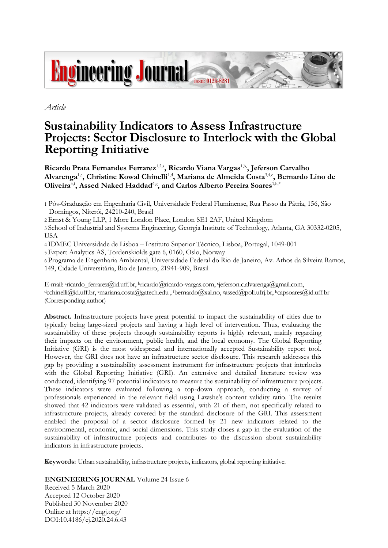

*Article*

# **Sustainability Indicators to Assess Infrastructure Projects: Sector Disclosure to Interlock with the Global Reporting Initiative**

Ricardo Prata Fernandes Ferrarez<sup>1,2,a</sup>, Ricardo Viana Vargas<sup>1,b,</sup>, Jeferson Carvalho **Alvarenga**1,c**, Christine Kowal Chinelli**1,d**, Mariana de Almeida Costa**3,4,e **, Bernardo Lino de Oliveira**5,f**, Assed Naked Haddad**6,g **, and Carlos Alberto Pereira Soares**1,h,\*

2 Ernst & Young LLP, 1 More London Place, London SE1 2AF, United Kingdom

3 School of Industrial and Systems Engineering, Georgia Institute of Technology, Atlanta, GA 30332-0205, USA

4 IDMEC Universidade de Lisboa – Instituto Superior Técnico, Lisboa, Portugal, 1049-001

5 Expert Analytics AS, Tordenskiolds gate 6, 0160, Oslo, Norway

6 Programa de Engenharia Ambiental, Universidade Federal do Rio de Janeiro, Av. Athos da Silveira Ramos, 149, Cidade Universitária, Rio de Janeiro, 21941-909, Brasil

E-mail: <sup>a</sup>ricardo\_ferrarez@id.uff.br, bricardo@ricardo-vargas.com, Geferson.c.alvarenga@gmail.com, <sup>d</sup>cchinelli@id.uff.br, <sup>e</sup>mariana.costa@gatech.edu , fbernardo@xal.no, g[assed@poli.ufrj.br,](mailto:assed@poli.ufrj.br)  <sup>h</sup>capsoares@id.uff.br (Corresponding author)

**Abstract.** Infrastructure projects have great potential to impact the sustainability of cities due to typically being large-sized projects and having a high level of intervention. Thus, evaluating the sustainability of these projects through sustainability reports is highly relevant, mainly regarding their impacts on the environment, public health, and the local economy. The Global Reporting Initiative (GRI) is the most widespread and internationally accepted Sustainability report tool. However, the GRI does not have an infrastructure sector disclosure. This research addresses this gap by providing a sustainability assessment instrument for infrastructure projects that interlocks with the Global Reporting Initiative (GRI). An extensive and detailed literature review was conducted, identifying 97 potential indicators to measure the sustainability of infrastructure projects. These indicators were evaluated following a top-down approach, conducting a survey of professionals experienced in the relevant field using Lawshe's content validity ratio. The results showed that 42 indicators were validated as essential, with 21 of them, not specifically related to infrastructure projects, already covered by the standard disclosure of the GRI. This assessment enabled the proposal of a sector disclosure formed by 21 new indicators related to the environmental, economic, and social dimensions. This study closes a gap in the evaluation of the sustainability of infrastructure projects and contributes to the discussion about sustainability indicators in infrastructure projects.

**Keywords:** Urban sustainability, infrastructure projects, indicators, global reporting initiative.

**ENGINEERING JOURNAL** Volume 24 Issue 6

Received 5 March 2020 Accepted 12 October 2020 Published 30 November 2020 Online at https://engj.org/ DOI:10.4186/ej.2020.24.6.43

<sup>1</sup> Pós-Graduação em Engenharia Civil, Universidade Federal Fluminense, Rua Passo da Pátria, 156, São Domingos, Niterói, 24210-240, Brasil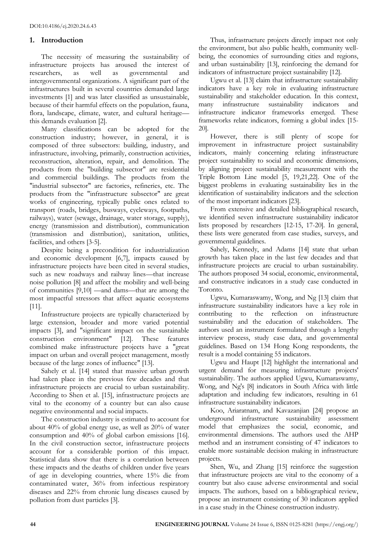#### **1. Introduction**

The necessity of measuring the sustainability of infrastructure projects has aroused the interest of researchers, as well as governmental and intergovernmental organizations. A significant part of the infrastructures built in several countries demanded large investments [1] and was later classified as unsustainable, because of their harmful effects on the population, fauna, flora, landscape, climate, water, and cultural heritage this demands evaluation [2].

Many classifications can be adopted for the construction industry; however, in general, it is composed of three subsectors: building, industry, and infrastructure, involving, primarily, construction activities, reconstruction, alteration, repair, and demolition. The products from the "building subsector" are residential and commercial buildings. The products from the "industrial subsector" are factories, refineries, etc. The products from the "infrastructure subsector" are great works of engineering, typically public ones related to transport (roads, bridges, busways, cycleways, footpaths, railways), water (sewage, drainage, water storage, supply), energy (transmission and distribution), communication (transmission and distribution), sanitation, utilities, facilities, and others [3-5].

Despite being a precondition for industrialization and economic development [6,7], impacts caused by infrastructure projects have been cited in several studies, such as new roadways and railway lines—that increase noise pollution [8] and affect the mobility and well-being of communities [9,10] —and dams—that are among the most impactful stressors that affect aquatic ecosystems [11].

Infrastructure projects are typically characterized by large extension, broader and more varied potential impacts [3], and "significant impact on the sustainable construction environment" [12]. These features combined make infrastructure projects have a "great impact on urban and overall project management, mostly because of the large zones of influence" [13].

Sahely et al. [14] stated that massive urban growth had taken place in the previous few decades and that infrastructure projects are crucial to urban sustainability. According to Shen et al. [15], infrastructure projects are vital to the economy of a country but can also cause negative environmental and social impacts.

The construction industry is estimated to account for about 40% of global energy use, as well as 20% of water consumption and 40% of global carbon emissions [16]. In the civil construction sector, infrastructure projects account for a considerable portion of this impact. Statistical data show that there is a correlation between these impacts and the deaths of children under five years of age in developing countries, where 15% die from contaminated water, 36% from infectious respiratory diseases and 22% from chronic lung diseases caused by pollution from dust particles [3].

Thus, infrastructure projects directly impact not only the environment, but also public health, community wellbeing, the economies of surrounding cities and regions, and urban sustainability [13], reinforcing the demand for indicators of infrastructure project sustainability [12].

Ugwu et al. [13] claim that infrastructure sustainability indicators have a key role in evaluating infrastructure sustainability and stakeholder education. In this context, many infrastructure sustainability indicators and infrastructure indicator frameworks emerged. These frameworks relate indicators, forming a global index [15- 20].

However, there is still plenty of scope for improvement in infrastructure project sustainability indicators, mainly concerning relating infrastructure project sustainability to social and economic dimensions, by aligning project sustainability measurement with the Triple Bottom Line model [5, 19,21,22]. One of the biggest problems in evaluating sustainability lies in the identification of sustainability indicators and the selection of the most important indicators [23].

From extensive and detailed bibliographical research, we identified seven infrastructure sustainability indicator lists proposed by researchers [12-15, 17-20]. In general, these lists were generated from case studies, surveys, and governmental guidelines.

Sahely, Kennedy, and Adams [14] state that urban growth has taken place in the last few decades and that infrastructure projects are crucial to urban sustainability. The authors proposed 34 social, economic, environmental, and constructive indicators in a study case conducted in Toronto.

Ugwu, Kumaraswamy, Wong, and Ng [13] claim that infrastructure sustainability indicators have a key role in contributing to the reflection on infrastructure sustainability and the education of stakeholders. The authors used an instrument formulated through a lengthy interview process, study case data, and governmental guidelines. Based on 134 Hong Kong respondents, the result is a model containing 55 indicators.

Ugwu and Haupt [12] highlight the international and urgent demand for measuring infrastructure projects' sustainability. The authors applied Ugwu, Kumaraswamy, Wong, and Ng's [8] indicators in South Africa with little adaptation and including few indicators, resulting in 61 infrastructure sustainability indicators.

Koo, Ariaratnam, and Kavazanjian [24] propose an underground infrastructure sustainability assessment model that emphasizes the social, economic, and environmental dimensions. The authors used the AHP method and an instrument consisting of 47 indicators to enable more sustainable decision making in infrastructure projects.

Shen, Wu, and Zhang [15] reinforce the suggestion that infrastructure projects are vital to the economy of a country but also cause adverse environmental and social impacts. The authors, based on a bibliographical review, propose an instrument consisting of 30 indicators applied in a case study in the Chinese construction industry.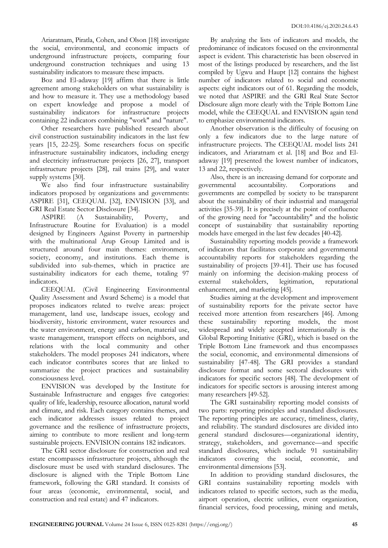Ariaratnam, Piratla, Cohen, and Olson [18] investigate the social, environmental, and economic impacts of underground infrastructure projects, comparing four underground construction techniques and using 13 sustainability indicators to measure these impacts.

Boz and El-adaway [19] affirm that there is little agreement among stakeholders on what sustainability is and how to measure it. They use a methodology based on expert knowledge and propose a model of sustainability indicators for infrastructure projects containing 22 indicators combining "work" and "nature".

Other researchers have published research about civil construction sustainability indicators in the last few years [15, 22-25]. Some researchers focus on specific infrastructure sustainability indicators, including energy and electricity infrastructure projects [26, 27], transport infrastructure projects [28], rail trains [29], and water supply systems [30].

We also find four infrastructure sustainability indicators proposed by organizations and governments: ASPIRE [31], CEEQUAL [32], ENVISION [33], and GRI Real Estate Sector Disclosure [34].

ASPIRE (A Sustainability, Poverty, and Infrastructure Routine for Evaluation) is a model designed by Engineers Against Poverty in partnership with the multinational Arup Group Limited and is structured around four main themes: environment, society, economy, and institutions. Each theme is subdivided into sub-themes, which in practice are sustainability indicators for each theme, totaling 97 indicators.

CEEQUAL (Civil Engineering Environmental Quality Assessment and Award Scheme) is a model that proposes indicators related to twelve areas: project management, land use, landscape issues, ecology and biodiversity, historic environment, water resources and the water environment, energy and carbon, material use, waste management, transport effects on neighbors, and relations with the local community and other stakeholders. The model proposes 241 indicators, where each indicator contributes scores that are linked to summarize the project practices and sustainability consciousness level.

ENVISION was developed by the Institute for Sustainable Infrastructure and engages five categories: quality of life, leadership, resource allocation, natural world and climate, and risk. Each category contains themes, and each indicator addresses issues related to project governance and the resilience of infrastructure projects, aiming to contribute to more resilient and long-term sustainable projects. ENVISION contains 182 indicators.

The GRI sector disclosure for construction and real estate encompasses infrastructure projects, although the disclosure must be used with standard disclosures. The disclosure is aligned with the Triple Bottom Line framework, following the GRI standard. It consists of four areas (economic, environmental, social, and construction and real estate) and 47 indicators.

By analyzing the lists of indicators and models, the predominance of indicators focused on the environmental aspect is evident. This characteristic has been observed in most of the listings produced by researchers, and the list compiled by Ugwu and Haupt [12] contains the highest number of indicators related to social and economic aspects: eight indicators out of 61. Regarding the models, we noted that ASPIRE and the GRI Real State Sector Disclosure align more clearly with the Triple Bottom Line model, while the CEEQUAL and ENVISION again tend to emphasize environmental indicators.

Another observation is the difficulty of focusing on only a few indicators due to the large nature of infrastructure projects. The CEEQUAL model lists 241 indicators, and Ariaratnam et al. [18] and Boz and Eladaway [19] presented the lowest number of indicators, 13 and 22, respectively.

Also, there is an increasing demand for corporate and governmental accountability. Corporations and governments are compelled by society to be transparent about the sustainability of their industrial and managerial activities [35-39]. It is precisely at the point of confluence of the growing need for "accountability" and the holistic concept of sustainability that sustainability reporting models have emerged in the last few decades [40-42].

Sustainability reporting models provide a framework of indicators that facilitates corporate and governmental accountability reports for stakeholders regarding the sustainability of projects [39-41]. Their use has focused mainly on informing the decision-making process of external stakeholders, legitimation, reputational enhancement, and marketing [45].

Studies aiming at the development and improvement of sustainability reports for the private sector have received more attention from researchers [46]. Among these sustainability reporting models, the most widespread and widely accepted internationally is the Global Reporting Initiative (GRI), which is based on the Triple Bottom Line framework and thus encompasses the social, economic, and environmental dimensions of sustainability [47-48]. The GRI provides a standard disclosure format and some sectoral disclosures with indicators for specific sectors [48]. The development of indicators for specific sectors is arousing interest among many researchers [49-52].

The GRI sustainability reporting model consists of two parts: reporting principles and standard disclosures. The reporting principles are accuracy, timeliness, clarity, and reliability. The standard disclosures are divided into general standard disclosures—organizational identity, strategy, stakeholders, and governance—and specific standard disclosures, which include 91 sustainability indicators covering the social, economic, and environmental dimensions [53].

In addition to providing standard disclosures, the GRI contains sustainability reporting models with indicators related to specific sectors, such as the media, airport operation, electric utilities, event organization, financial services, food processing, mining and metals,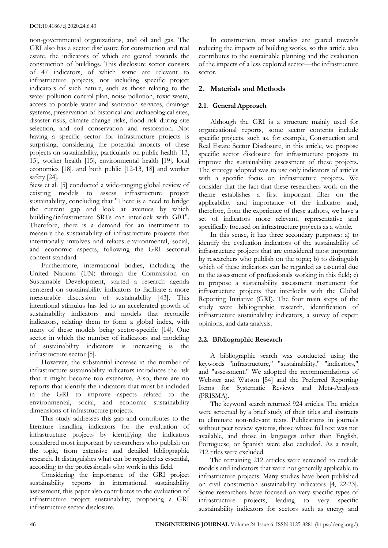non-governmental organizations, and oil and gas. The GRI also has a sector disclosure for construction and real estate, the indicators of which are geared towards the construction of buildings. This disclosure sector consists of 47 indicators, of which some are relevant to infrastructure projects, not including specific project indicators of such nature, such as those relating to the water pollution control plan, noise pollution, toxic waste, access to potable water and sanitation services, drainage systems, preservation of historical and archaeological sites, disaster risks, climate change risks, flood risk during site selection, and soil conservation and restoration. Not having a specific sector for infrastructure projects is surprising, considering the potential impacts of these projects on sustainability, particularly on public health [13, 15], worker health [15], environmental health [19], local economies [18], and both public [12-13, 18] and worker safety [24].

Siew et al. [5] conducted a wide-ranging global review of existing models to assess infrastructure project sustainability, concluding that "There is a need to bridge the current gap and look at avenues by which building/infrastructure SRTs can interlock with GRI". Therefore, there is a demand for an instrument to measure the sustainability of infrastructure projects that intentionally involves and relates environmental, social, and economic aspects, following the GRI sectorial content standard.

Furthermore, international bodies, including the United Nations (UN) through the Commission on Sustainable Development, started a research agenda centered on sustainability indicators to facilitate a more measurable discussion of sustainability [43]. This intentional stimulus has led to an accelerated growth of sustainability indicators and models that reconcile indicators, relating them to form a global index, with many of these models being sector-specific [14]. One sector in which the number of indicators and modeling of sustainability indicators is increasing is the infrastructure sector [5].

However, the substantial increase in the number of infrastructure sustainability indicators introduces the risk that it might become too extensive. Also, there are no reports that identify the indicators that must be included in the GRI to improve aspects related to the environmental, social, and economic sustainability dimensions of infrastructure projects.

This study addresses this gap and contributes to the literature handling indicators for the evaluation of infrastructure projects by identifying the indicators considered most important by researchers who publish on the topic, from extensive and detailed bibliographic research. It distinguishes what can be regarded as essential, according to the professionals who work in this field.

Considering the importance of the GRI project sustainability reports in international sustainability assessment, this paper also contributes to the evaluation of infrastructure project sustainability, proposing a GRI infrastructure sector disclosure.

In construction, most studies are geared towards reducing the impacts of building works, so this article also contributes to the sustainable planning and the evaluation of the impacts of a less explored sector—the infrastructure sector.

# **2. Materials and Methods**

# **2.1. General Approach**

Although the GRI is a structure mainly used for organizational reports, some sector contents include specific projects, such as, for example, Construction and Real Estate Sector Disclosure, in this article, we propose specific sector disclosure for infrastructure projects to improve the sustainability assessment of these projects. The strategy adopted was to use only indicators of articles with a specific focus on infrastructure projects. We consider that the fact that these researchers work on the theme establishes a first important filter on the applicability and importance of the indicator and, therefore, from the experience of these authors, we have a set of indicators more relevant, representative and specifically focused on infrastructure projects as a whole.

In this sense, it has three secondary purposes: a) to identify the evaluation indicators of the sustainability of infrastructure projects that are considered most important by researchers who publish on the topic; b) to distinguish which of these indicators can be regarded as essential due to the assessment of professionals working in this field; c) to propose a sustainability assessment instrument for infrastructure projects that interlocks with the Global Reporting Initiative (GRI). The four main steps of the study were bibliographic research, identification of infrastructure sustainability indicators, a survey of expert opinions, and data analysis.

## **2.2. Bibliographic Research**

A bibliographic search was conducted using the keywords "infrastructure," "sustainability," "indicators," and "assessment." We adopted the recommendations of Webster and Watson [54] and the Preferred Reporting Items for Systematic Reviews and Meta-Analyses (PRISMA).

The keyword search returned 924 articles. The articles were screened by a brief study of their titles and abstracts to eliminate non-relevant texts. Publications in journals without peer review systems, those whose full text was not available, and those in languages other than English, Portuguese, or Spanish were also excluded. As a result, 712 titles were excluded.

The remaining 212 articles were screened to exclude models and indicators that were not generally applicable to infrastructure projects. Many studies have been published on civil construction sustainability indicators [4, 22-23]. Some researchers have focused on very specific types of infrastructure projects, leading to very specific sustainability indicators for sectors such as energy and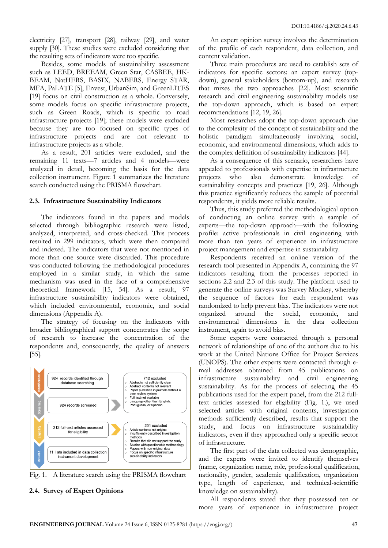electricity [27], transport [28], railway [29], and water supply [30]. These studies were excluded considering that the resulting sets of indicators were too specific.

Besides, some models of sustainability assessment such as LEED, BREEAM, Green Star, CASBEE, HK-BEAM, NatHERS, BASIX, NABERS, Energy STAR, MFA, PaLATE [5], Envest, UrbanSim, and GreenLITES [19] focus on civil construction as a whole. Conversely, some models focus on specific infrastructure projects, such as Green Roads, which is specific to road infrastructure projects [19]; these models were excluded because they are too focused on specific types of infrastructure projects and are not relevant to infrastructure projects as a whole.

As a result, 201 articles were excluded, and the remaining 11 texts—7 articles and 4 models—were analyzed in detail, becoming the basis for the data collection instrument. Figure 1 summarizes the literature search conducted using the PRISMA flowchart.

#### **2.3. Infrastructure Sustainability Indicators**

The indicators found in the papers and models selected through bibliographic research were listed, analyzed, interpreted, and cross-checked. This process resulted in 299 indicators, which were then compared and indexed. The indicators that were not mentioned in more than one source were discarded. This procedure was conducted following the methodological procedures employed in a similar study, in which the same mechanism was used in the face of a comprehensive theoretical framework [15, 54]. As a result, 97 infrastructure sustainability indicators were obtained, which included environmental, economic, and social dimensions (Appendix A).

The strategy of focusing on the indicators with broader bibliographical support concentrates the scope of research to increase the concentration of the respondents and, consequently, the quality of answers [55].





#### **2.4. Survey of Expert Opinions**

An expert opinion survey involves the determination of the profile of each respondent, data collection, and content validation.

Three main procedures are used to establish sets of indicators for specific sectors: an expert survey (topdown), general stakeholders (bottom-up), and research that mixes the two approaches [22]. Most scientific research and civil engineering sustainability models use the top-down approach, which is based on expert recommendations [12, 19, 26].

Most researches adopt the top-down approach due to the complexity of the concept of sustainability and the holistic paradigm simultaneously involving social, economic, and environmental dimensions, which adds to the complex definition of sustainability indicators [44].

As a consequence of this scenario, researchers have appealed to professionals with expertise in infrastructure projects who also demonstrate knowledge sustainability concepts and practices [19, 26]. Although this practice significantly reduces the sample of potential respondents, it yields more reliable results.

Thus, this study preferred the methodological option of conducting an online survey with a sample of experts—the top-down approach—with the following profile: active professionals in civil engineering with more than ten years of experience in infrastructure project management and expertise in sustainability.

Respondents received an online version of the research tool presented in Appendix A, containing the 97 indicators resulting from the processes reported in sections 2.2 and 2.3 of this study. The platform used to generate the online surveys was Survey Monkey, whereby the sequence of factors for each respondent was randomized to help prevent bias. The indicators were not organized around the social, economic, and environmental dimensions in the data collection instrument, again to avoid bias.

Some experts were contacted through a personal network of relationships of one of the authors due to his work at the United Nations Office for Project Services (UNOPS). The other experts were contacted through email addresses obtained from 45 publications on infrastructure sustainability and civil engineering sustainability. As for the process of selecting the 45 publications used for the expert panel, from the 212 fulltext articles assessed for eligibility (Fig. 1.), we used selected articles with original contents, investigation methods sufficiently described, results that support the study, and focus on infrastructure sustainability indicators, even if they approached only a specific sector of infrastructure.

The first part of the data collected was demographic, and the experts were invited to identify themselves (name, organization name, role, professional qualification, nationality, gender, academic qualification, organization type, length of experience, and technical-scientific knowledge on sustainability).

All respondents stated that they possessed ten or more years of experience in infrastructure project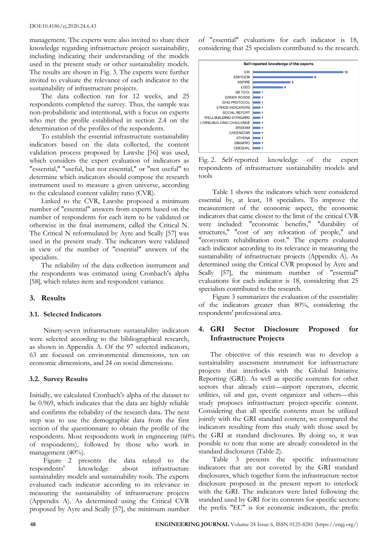#### DOI:10.4186/ej.2020.24.6.43

management. The experts were also invited to share their knowledge regarding infrastructure project sustainability, including indicating their understanding of the models used in the present study or other sustainability models. The results are shown in Fig. 3. The experts were further invited to evaluate the relevance of each indicator to the sustainability of infrastructure projects.

The data collection ran for 12 weeks, and 25 respondents completed the survey. Thus, the sample was non-probabilistic and intentional, with a focus on experts who met the profile established in section 2.4 on the determination of the profiles of the respondents.

To establish the essential infrastructure sustainability indicators based on the data collected, the content validation process proposed by Lawshe [56] was used, which considers the expert evaluation of indicators as "essential," "useful, but not essential," or "not useful" to determine which indicators should compose the research instrument used to measure a given universe, according to the calculated content validity ratio (CVR).

Linked to the CVR, Lawshe proposed a minimum number of "essential" answers from experts based on the number of respondents for each item to be validated or otherwise in the final instrument, called the Critical N. The Critical N reformulated by Ayre and Scally [57] was used in the present study. The indicators were validated in view of the number of "essential" answers of the specialists.

The reliability of the data collection instrument and the respondents was estimated using Cronbach's alpha [58], which relates item and respondent variance.

## **3. Results**

#### **3.1. Selected Indicators**

Ninety-seven infrastructure sustainability indicators were selected according to the bibliographical research, as shown in Appendix A. Of the 97 selected indicators, 63 are focused on environmental dimensions, ten on economic dimensions, and 24 on social dimensions.

#### **3.2. Survey Results**

Initially, we calculated Cronbach's alpha of the dataset to be 0.969, which indicates that the data are highly reliable and confirms the reliability of the research data. The next step was to use the demographic data from the first section of the questionnaire to obtain the profile of the respondents. Most respondents work in engineering (60% of respondents), followed by those who work in management (40%).

Figure 2 presents the data related to the respondents' knowledge about infrastructure sustainability models and sustainability tools. The experts evaluated each indicator according to its relevance in measuring the sustainability of infrastructure projects (Appendix A). As determined using the Critical CVR proposed by Ayre and Scally [57], the minimum number of "essential" evaluations for each indicator is 18, considering that 25 specialists contributed to the research.



Fig. 2. Self-reported knowledge of the expert respondents of infrastructure sustainability models and tools

Table 1 shows the indicators which were considered essential by, at least, 18 specialists. To improve the measurement of the economic aspect, the economic indicators that came closest to the limit of the critical CVR were included: "economic benefits," "durability of structures," "cost of any relocation of people," and "ecosystem rehabilitation cost." The experts evaluated each indicator according to its relevance in measuring the sustainability of infrastructure projects (Appendix A). As determined using the Critical CVR proposed by Ayre and Scally [57], the minimum number of "essential" evaluations for each indicator is 18, considering that 25 specialists contributed to the research.

Figure 3 summarizes the evaluation of the essentiality of the indicators greater than 80%, considering the respondents' professional area.

## **4. GRI Sector Disclosure Proposed for Infrastructure Projects**

.

The objective of this research was to develop a sustainability assessment instrument for infrastructure projects that interlocks with the Global Initiative Reporting (GRI). As well as specific contents for other sectors that already exist—airport operators, electric utilities, oil and gas, event organizer and others—this study proposes infrastructure project-specific content. Considering that all specific contents must be utilized jointly with the GRI standard content, we compared the indicators resulting from this study with those used by the GRI at standard disclosures. By doing so, it was possible to note that some are already considered in the standard disclosures (Table 2).

Table 3 presents the specific infrastructure indicators that are not covered by the GRI standard disclosures, which together form the infrastructure sector disclosure proposed in the present report to interlock with the GRI. The indicators were listed following the standard used by GRI for its contents for specific sectors: the prefix "EC" is for economic indicators, the prefix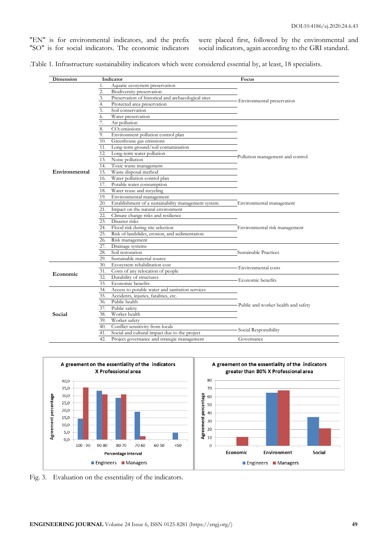"EN" is for environmental indicators, and the prefix "SO" is for social indicators. The economic indicators were placed first, followed by the environmental and social indicators, again according to the GRI standard.

.Table 1. Infrastructure sustainability indicators which were considered essential by, at least, 18 specialists.

| Dimension     |     | Indicator                                           | Focus                                 |  |
|---------------|-----|-----------------------------------------------------|---------------------------------------|--|
|               | 1.  | Aquatic ecosystem preservation                      |                                       |  |
|               | 2.  | Biodiversity preservation                           |                                       |  |
|               | 3.  | Preservation of historical and archaeological sites |                                       |  |
|               | 4.  | Protected area preservation                         | Environmental preservation            |  |
|               | 5.  | Soil conservation                                   |                                       |  |
|               | 6.  | Water preservation                                  |                                       |  |
|               |     | Air pollution                                       |                                       |  |
|               | 8.  | $CO2$ emissions                                     |                                       |  |
|               | 9.  | Environment pollution control plan                  |                                       |  |
|               | 10. | Greenhouse gas emissions                            |                                       |  |
|               | 11. | Long-term ground/soil contamination                 |                                       |  |
|               | 12. | Long-term water pollution                           |                                       |  |
| Environmental | 13. | Noise pollution                                     | Pollution management and control      |  |
|               | 14. | Toxic waste management                              |                                       |  |
|               | 15. | Waste disposal method                               |                                       |  |
|               | 16. | Water pollution control plan                        |                                       |  |
|               | 17. | Potable water consumption                           |                                       |  |
|               | 18. | Water reuse and recycling                           |                                       |  |
|               | 19. | Environmental management                            |                                       |  |
|               | 20. | Establishment of a sustainability management system | Environmental management              |  |
|               | 21. | Impact on the natural environment                   |                                       |  |
|               | 22. | Climate change risks and resilience                 |                                       |  |
|               | 23. | Disaster risks                                      |                                       |  |
|               | 24. | Flood risk during site selection                    | Environmental risk management         |  |
|               | 25. | Risk of landslides, erosion, and sedimentation      |                                       |  |
|               | 26. | Risk management                                     |                                       |  |
|               | 27. | Drainage systems                                    |                                       |  |
|               | 28. | Soil restoration                                    | Sustainable Practices                 |  |
|               | 29. | Sustainable material source                         |                                       |  |
| Economic      | 30. | Ecosystem rehabilitation cost                       | Environmental costs                   |  |
|               | 31. | Costs of any relocation of people                   |                                       |  |
|               | 32. | Durability of structures                            | Economic benefits                     |  |
|               | 33. | Economic benefits                                   |                                       |  |
|               | 34. | Access to potable water and sanitation services     |                                       |  |
|               | 35. | Accidents, injuries, fatalities, etc.               | - Public and worker health and safety |  |
|               | 36. | Public health                                       |                                       |  |
|               | 37. | Public safety                                       |                                       |  |
| Social        | 38. | Worker health                                       |                                       |  |
|               | 39. | Worker safety                                       |                                       |  |
|               | 40. | Conflict sensitivity from locals                    |                                       |  |
|               | 41. | Social and cultural impact due to the project       | Social Responsibility                 |  |
|               | 42. | Project governance and strategic management         | Governance                            |  |





Fig. 3. Evaluation on the essentiality of the indicators.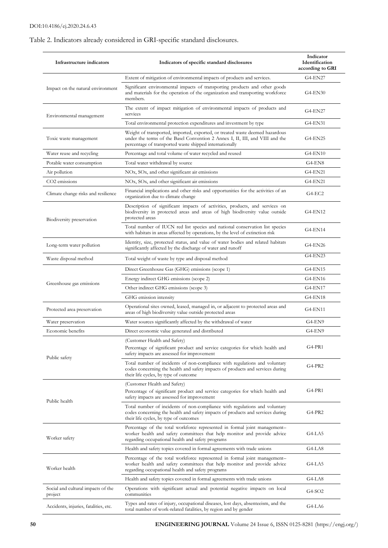# Table 2. Indicators already considered in GRI-specific standard disclosures.

| Infrastructure indicators                     | Indicators of specific standard disclosures                                                                                                                                                                             | Indicator<br>Identification<br>according to GRI |
|-----------------------------------------------|-------------------------------------------------------------------------------------------------------------------------------------------------------------------------------------------------------------------------|-------------------------------------------------|
|                                               | Extent of mitigation of environmental impacts of products and services.                                                                                                                                                 | <b>G4-EN27</b>                                  |
| Impact on the natural environment             | Significant environmental impacts of transporting products and other goods<br>and materials for the operation of the organization and transporting workforce<br>members.                                                | G4-EN30                                         |
| Environmental management                      | The extent of impact mitigation of environmental impacts of products and<br>services                                                                                                                                    | G4-EN27                                         |
|                                               | Total environmental protection expenditures and investment by type                                                                                                                                                      | G4-EN31                                         |
| Toxic waste management                        | Weight of transported, imported, exported, or treated waste deemed hazardous<br>under the terms of the Basel Convention 2 Annex I, II, III, and VIII and the<br>percentage of transported waste shipped internationally | <b>G4-EN25</b>                                  |
| Water reuse and recycling                     | Percentage and total volume of water recycled and reused                                                                                                                                                                | <b>G4-EN10</b>                                  |
| Potable water consumption                     | Total water withdrawal by source                                                                                                                                                                                        | $G4-EN8$                                        |
| Air pollution                                 | NOx, SOx, and other significant air emissions                                                                                                                                                                           | <b>G4-EN21</b>                                  |
| CO <sub>2</sub> emissions                     | NOx, SOx, and other significant air emissions                                                                                                                                                                           | <b>G4-EN21</b>                                  |
| Climate change risks and resilience           | Financial implications and other risks and opportunities for the activities of an<br>organization due to climate change                                                                                                 | G4-EC2                                          |
| Biodiversity preservation                     | Description of significant impacts of activities, products, and services on<br>biodiversity in protected areas and areas of high biodiversity value outside<br>protected areas                                          | G4-EN12                                         |
|                                               | Total number of IUCN red list species and national conservation list species<br>with habitats in areas affected by operations, by the level of extinction risk                                                          | G4-EN14                                         |
| Long-term water pollution                     | Identity, size, protected status, and value of water bodies and related habitats<br>significantly affected by the discharge of water and runoff                                                                         | G4-EN26                                         |
| Waste disposal method                         | Total weight of waste by type and disposal method                                                                                                                                                                       | G4-EN23                                         |
|                                               | Direct Greenhouse Gas (GHG) emissions (scope 1)                                                                                                                                                                         | <b>G4-EN15</b>                                  |
| Greenhouse gas emissions                      | Energy indirect GHG emissions (scope 2)                                                                                                                                                                                 | G4-EN16                                         |
|                                               | Other indirect GHG emissions (scope 3)                                                                                                                                                                                  | <b>G4-EN17</b>                                  |
|                                               | GHG emission intensity                                                                                                                                                                                                  | <b>G4-EN18</b>                                  |
| Protected area preservation                   | Operational sites owned, leased, managed in, or adjacent to protected areas and<br>areas of high biodiversity value outside protected areas                                                                             | G4-EN11                                         |
| Water preservation                            | Water sources significantly affected by the withdrawal of water                                                                                                                                                         | G4-EN9                                          |
| Economic benefits                             | Direct economic value generated and distributed                                                                                                                                                                         | G4-EN9                                          |
|                                               | (Customer Health and Safety)<br>Percentage of significant product and service categories for which health and<br>safety impacts are assessed for improvement                                                            | G4-PR1                                          |
| Public safety                                 | Total number of incidents of non-compliance with regulations and voluntary<br>codes concerning the health and safety impacts of products and services during<br>their life cycles, by type of outcome                   | G4-PR2                                          |
| Public health                                 | (Customer Health and Safety)<br>Percentage of significant product and service categories for which health and<br>safety impacts are assessed for improvement                                                            | G4-PR1                                          |
|                                               | Total number of incidents of non-compliance with regulations and voluntary<br>codes concerning the health and safety impacts of products and services during<br>their life cycles, by type of outcomes                  | G4-PR2                                          |
| Worker safety                                 | Percentage of the total workforce represented in formal joint management-<br>worker health and safety committees that help monitor and provide advice<br>regarding occupational health and safety programs              | G4-LA5                                          |
|                                               | Health and safety topics covered in formal agreements with trade unions                                                                                                                                                 | G4-LA8                                          |
| Worker health                                 | Percentage of the total workforce represented in formal joint management-<br>worker health and safety committees that help monitor and provide advice<br>regarding occupational health and safety programs              | G4-LA5                                          |
|                                               | Health and safety topics covered in formal agreements with trade unions                                                                                                                                                 | G4-LA8                                          |
| Social and cultural impacts of the<br>project | Operations with significant actual and potential negative impacts on local<br>communities                                                                                                                               | G4-SO2                                          |
| Accidents, injuries, fatalities, etc.         | Types and rates of injury, occupational diseases, lost days, absenteeism, and the<br>total number of work-related fatalities, by region and by gender                                                                   | G4-LA6                                          |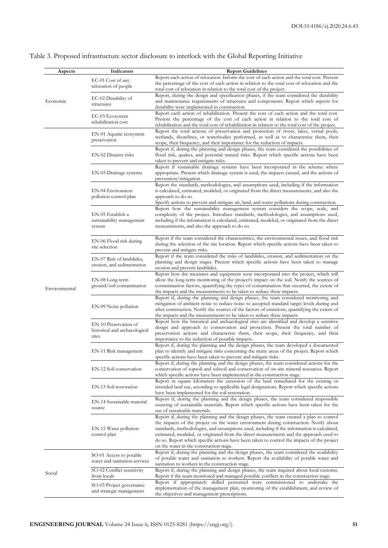| Aspects                   | Indicators                                                      | <b>Report Guidelines</b>                                                                                                                                                                                                                                                                                                                                                                                                                                                                                             |
|---------------------------|-----------------------------------------------------------------|----------------------------------------------------------------------------------------------------------------------------------------------------------------------------------------------------------------------------------------------------------------------------------------------------------------------------------------------------------------------------------------------------------------------------------------------------------------------------------------------------------------------|
|                           | EC-01 Cost of any<br>relocation of people                       | Report each action of relocation. Inform the cost of each action and the total cost. Present<br>the percentage of the cost of each action in relation to the total cost of relocation and the<br>total cost of relocation in relation to the total cost of the project.                                                                                                                                                                                                                                              |
| Economic<br>Environmental | EC-02 Durability of<br>structures                               | Report, during the design and specification phases, if the team considered the durability<br>and maintenance requirements of structures and components. Report which aspects for<br>durability were implemented in construction.                                                                                                                                                                                                                                                                                     |
|                           | EC-03 Ecosystem<br>rehabilitation cost                          | Report each action of rehabilitation. Present the cost of each action and the total cost.<br>Present the percentage of the cost of each action in relation to the total cost of                                                                                                                                                                                                                                                                                                                                      |
|                           | EN-01 Aquatic ecosystem<br>preservation                         | rehabilitation and the total cost of rehabilitation in relation to the total cost of the project.<br>Report the total actions of preservation and protection of rivers, lakes, vernal pools,<br>wetlands, shorelines, or waterbodies performed, as well as to characterize them, their<br>scope, their frequency, and their importance for the reduction of impacts.                                                                                                                                                 |
|                           | EN-02 Disaster risks                                            | Report if, during the planning and design phases, the team considered the possibilities of<br>flood risk, quakes, and potential natural risks. Report which specific actions have been<br>taken to prevent and mitigate risks.                                                                                                                                                                                                                                                                                       |
|                           | EN-03 Drainage systems                                          | Report if sustainable drainage systems have been incorporated in the scheme where<br>appropriate. Present which drainage system is used, the impacts caused, and the actions of<br>prevention/mitigation.                                                                                                                                                                                                                                                                                                            |
|                           | EN-04 Environnent<br>pollution control plan                     | Report the standards, methodologies, and assumptions used, including if the information<br>is calculated, estimated, modeled, or originated from the direct measurements, and also the<br>approach to do so.<br>Specify actions to prevent and mitigate air, land, and water pollutions during construction.                                                                                                                                                                                                         |
|                           | EN-05 Establish a<br>sustainability management<br>system        | Report how the sustainability management system considers the scope, scale, and<br>complexity of the project. Introduce standards, methodologies, and assumptions used,<br>including if the information is calculated, estimated, modeled, or originated from the direct<br>measurements, and also the approach to do so.                                                                                                                                                                                            |
|                           | EN-06 Flood risk during<br>site selection                       | Report if the team considered the characteristics, the environmental issues, and flood risk<br>during the selection of the site location. Report which specific actions have been taken to<br>prevent and mitigate risks.                                                                                                                                                                                                                                                                                            |
|                           | EN-07 Risk of landslides,<br>erosion, and sedimentation         | Report if the team considered the risks of landslides, erosion, and sedimentation on the<br>planning and design stages. Present which specific actions have been taken to manage<br>erosion and prevent landslides.                                                                                                                                                                                                                                                                                                  |
|                           | EN-08 Long-term<br>ground/soil contamination                    | Report how the measures and equipment were incorporated into the project, which will<br>allow the long-term monitoring of the project's impact on the soil. Notify the sources of<br>contamination factors, quantifying the types of contamination that occurred, the extent of<br>the impacts and the measurements to be taken to reduce these impacts.                                                                                                                                                             |
|                           | EN-09 Noise pollution                                           | Report if, during the planning and design phases, the team considered monitoring and<br>mitigation of ambient noise to reduce noise to accepted standard target levels during and<br>after construction. Notify the sources of the factors of emissions, quantifying the extent of<br>the impacts and the measurements to be taken to reduce these impacts.                                                                                                                                                          |
|                           | EN-10 Preservation of<br>historical and archaeological<br>sites | Report how the historical and archaeological sites are identified and develop a sensitive<br>design and approach to conservation and protection. Present the total number of<br>preservation actions and characterize them, their scope, their frequency, and their<br>importance to the reduction of possible impacts.                                                                                                                                                                                              |
|                           | EN-11 Risk management                                           | Report if, during the planning and the design phases, the team developed a documented<br>plan to identify and mitigate risks concerning the many areas of the project. Report which<br>specific actions have been taken to prevent and mitigate risks.                                                                                                                                                                                                                                                               |
|                           | EN-12 Soil conservation                                         | Report if, during the planning and the design phases, the team considered actions for the<br>conservation of topsoil and subsoil and conservation of on-site mineral resources. Report<br>which specific actions have been implemented in the construction stage.                                                                                                                                                                                                                                                    |
|                           | EN-13 Soil restoration                                          | Report in square kilometers the extension of the land remediated for the existing or<br>intended land use, according to applicable legal designations. Report which specific actions<br>have been implemented for the soil restoration.                                                                                                                                                                                                                                                                              |
|                           | EN-14 Sustainable material<br>source                            | Report if, during the planning and the design phases, the team considered responsible<br>sourcing of sustainable materials. Report which specific actions have been taken for the<br>use of sustainable materials.                                                                                                                                                                                                                                                                                                   |
|                           | EN-15 Water pollution<br>control plan                           | Report if, during the planning and the design phases, the team created a plan to control<br>the impacts of the project on the water environment during construction. Notify about<br>standards, methodologies, and assumptions used, including if the information is calculated,<br>estimated, modeled, or originated from the direct measurements and the approach used to<br>do so. Report which specific actions have been taken to control the impacts of the project<br>on the water in the construction stage. |
|                           | SO-01 Access to potable<br>water and sanitation services        | Report if, during the planning and the design phases, the team considered the availability<br>of potable water and sanitation to workers. Report the availability of potable water and<br>sanitation to workers in the construction stage.                                                                                                                                                                                                                                                                           |
| Social                    | SO-02 Conflict sensitivity<br>from locals                       | Report if, during the planning and design phases, the team inquired about local customs.<br>Report if the team monitored and managed possible conflicts in the construction stage.                                                                                                                                                                                                                                                                                                                                   |
|                           | SO-03 Project governance<br>and strategic management            | Report if appropriately skilled personnel were commissioned to undertake the<br>implementation of the management plan, monitoring of the establishment, and review of<br>the objectives and management prescriptions.                                                                                                                                                                                                                                                                                                |

# Table 3. Proposed infrastructure sector disclosure to interlock with the Global Reporting Initiative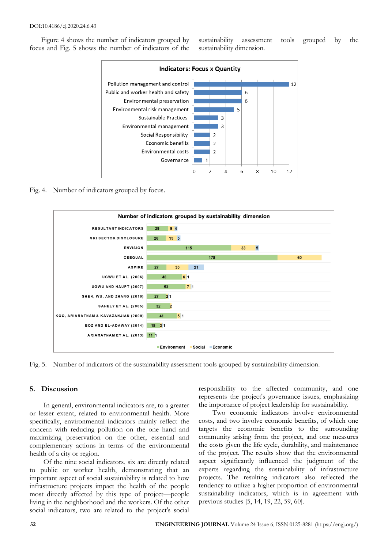Figure 4 shows the number of indicators grouped by focus and Fig. 5 shows the number of indicators of the sustainability assessment tools grouped by the sustainability dimension.



#### Fig. 4. Number of indicators grouped by focus.



Fig. 5. Number of indicators of the sustainability assessment tools grouped by sustainability dimension.

#### **5. Discussion**

In general, environmental indicators are, to a greater or lesser extent, related to environmental health. More specifically, environmental indicators mainly reflect the concern with reducing pollution on the one hand and maximizing preservation on the other, essential and complementary actions in terms of the environmental health of a city or region.

Of the nine social indicators, six are directly related to public or worker health, demonstrating that an important aspect of social sustainability is related to how infrastructure projects impact the health of the people most directly affected by this type of project—people living in the neighborhood and the workers. Of the other social indicators, two are related to the project's social

responsibility to the affected community, and one represents the project's governance issues, emphasizing the importance of project leadership for sustainability.

Two economic indicators involve environmental costs, and two involve economic benefits, of which one targets the economic benefits to the surrounding community arising from the project, and one measures the costs given the life cycle, durability, and maintenance of the project. The results show that the environmental aspect significantly influenced the judgment of the experts regarding the sustainability of infrastructure projects. The resulting indicators also reflected the tendency to utilize a higher proportion of environmental sustainability indicators, which is in agreement with previous studies [5, 14, 19, 22, 59, 60].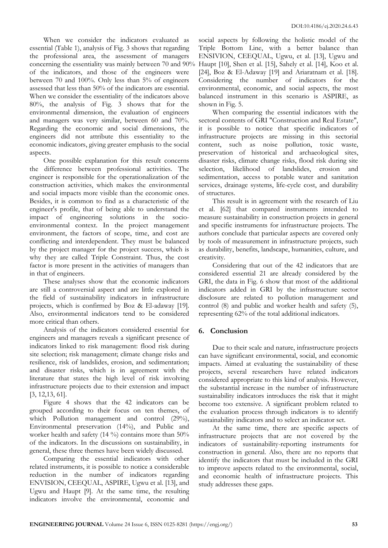When we consider the indicators evaluated as essential (Table 1), analysis of Fig. 3 shows that regarding the professional area, the assessment of managers concerning the essentiality was mainly between 70 and 90% of the indicators, and those of the engineers were between 70 and 100%. Only less than 5% of engineers assessed that less than 50% of the indicators are essential. When we consider the essentiality of the indicators above 80%, the analysis of Fig. 3 shows that for the environmental dimension, the evaluation of engineers and managers was very similar, between 60 and 70%. Regarding the economic and social dimensions, the engineers did not attribute this essentiality to the economic indicators, giving greater emphasis to the social aspects.

One possible explanation for this result concerns the difference between professional activities. The engineer is responsible for the operationalization of the construction activities, which makes the environmental and social impacts more visible than the economic ones. Besides, it is common to find as a characteristic of the engineer's profile, that of being able to understand the impact of engineering solutions in the socioenvironmental context. In the project management environment, the factors of scope, time, and cost are conflicting and interdependent. They must be balanced by the project manager for the project success, which is why they are called Triple Constraint. Thus, the cost factor is more present in the activities of managers than in that of engineers.

These analyses show that the economic indicators are still a controversial aspect and are little explored in the field of sustainability indicators in infrastructure projects, which is confirmed by Boz & El-adaway [19]. Also, environmental indicators tend to be considered more critical than others.

Analysis of the indicators considered essential for engineers and managers reveals a significant presence of indicators linked to risk management: flood risk during site selection; risk management; climate change risks and resilience, risk of landslides, erosion, and sedimentation; and disaster risks, which is in agreement with the literature that states the high level of risk involving infrastructure projects due to their extension and impact [3, 12,13, 61].

Figure 4 shows that the 42 indicators can be grouped according to their focus on ten themes, of which Pollution management and control (29%), Environmental preservation (14%), and Public and worker health and safety  $(14 \%)$  contains more than 50% of the indicators. In the discussions on sustainability, in general, these three themes have been widely discussed.

Comparing the essential indicators with other related instruments, it is possible to notice a considerable reduction in the number of indicators regarding ENVISION, CEEQUAL, ASPIRE, Ugwu et al. [13], and Ugwu and Haupt [9]. At the same time, the resulting indicators involve the environmental, economic and

social aspects by following the holistic model of the Triple Bottom Line, with a better balance than ENSIVION, CEEQUAL, Ugwu, et al. [13], Ugwu and Haupt [10], Shen et al. [15], Sahely et al. [14], Koo et al. [24], Boz & El-Adaway [19] and Ariaratnam et al. [18]. Considering the number of indicators for the environmental, economic, and social aspects, the most balanced instrument in this scenario is ASPIRE, as shown in Fig. 5.

When comparing the essential indicators with the sectoral contents of GRI "Construction and Real Estate", it is possible to notice that specific indicators of infrastructure projects are missing in this sectorial content, such as noise pollution, toxic waste, preservation of historical and archaeological sites, disaster risks, climate change risks, flood risk during site selection, likelihood of landslides, erosion and sedimentation, access to potable water and sanitation services, drainage systems, life-cycle cost, and durability of structures.

This result is in agreement with the research of Liu et al. [62] that compared instruments intended to measure sustainability in construction projects in general and specific instruments for infrastructure projects. The authors conclude that particular aspects are covered only by tools of measurement in infrastructure projects, such as durability, benefits, landscape, humanities, culture, and creativity.

Considering that out of the 42 indicators that are considered essential 21 are already considered by the GRI, the data in Fig. 6 show that most of the additional indicators added in GRI by the infrastructure sector disclosure are related to pollution management and control (8) and public and worker health and safety (5), representing 62% of the total additional indicators.

## **6. Conclusion**

Due to their scale and nature, infrastructure projects can have significant environmental, social, and economic impacts. Aimed at evaluating the sustainability of these projects, several researchers have related indicators considered appropriate to this kind of analysis. However, the substantial increase in the number of infrastructure sustainability indicators introduces the risk that it might become too extensive. A significant problem related to the evaluation process through indicators is to identify sustainability indicators and to select an indicator set.

At the same time, there are specific aspects of infrastructure projects that are not covered by the indicators of sustainability-reporting instruments for construction in general. Also, there are no reports that identify the indicators that must be included in the GRI to improve aspects related to the environmental, social, and economic health of infrastructure projects. This study addresses these gaps.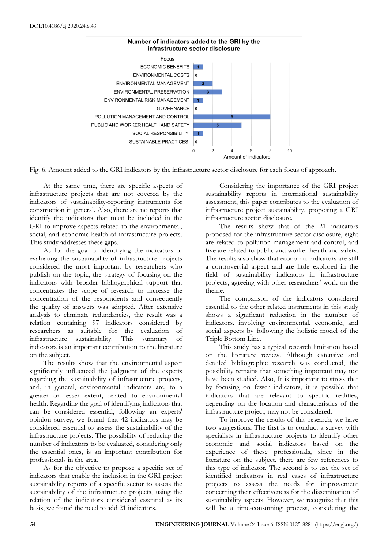

Fig. 6. Amount added to the GRI indicators by the infrastructure sector disclosure for each focus of approach.

At the same time, there are specific aspects of infrastructure projects that are not covered by the indicators of sustainability-reporting instruments for construction in general. Also, there are no reports that identify the indicators that must be included in the GRI to improve aspects related to the environmental, social, and economic health of infrastructure projects. This study addresses these gaps.

As for the goal of identifying the indicators of evaluating the sustainability of infrastructure projects considered the most important by researchers who publish on the topic, the strategy of focusing on the indicators with broader bibliographical support that concentrates the scope of research to increase the concentration of the respondents and consequently the quality of answers was adopted. After extensive analysis to eliminate redundancies, the result was a relation containing 97 indicators considered by researchers as suitable for the evaluation of infrastructure sustainability. This summary of indicators is an important contribution to the literature on the subject.

The results show that the environmental aspect significantly influenced the judgment of the experts regarding the sustainability of infrastructure projects, and, in general, environmental indicators are, to a greater or lesser extent, related to environmental health. Regarding the goal of identifying indicators that can be considered essential, following an experts' opinion survey, we found that 42 indicators may be considered essential to assess the sustainability of the infrastructure projects. The possibility of reducing the number of indicators to be evaluated, considering only the essential ones, is an important contribution for professionals in the area.

As for the objective to propose a specific set of indicators that enable the inclusion in the GRI project sustainability reports of a specific sector to assess the sustainability of the infrastructure projects, using the relation of the indicators considered essential as its basis, we found the need to add 21 indicators.

Considering the importance of the GRI project sustainability reports in international sustainability assessment, this paper contributes to the evaluation of infrastructure project sustainability, proposing a GRI infrastructure sector disclosure.

The results show that of the 21 indicators proposed for the infrastructure sector disclosure, eight are related to pollution management and control, and five are related to public and worker health and safety. The results also show that economic indicators are still a controversial aspect and are little explored in the field of sustainability indicators in infrastructure projects, agreeing with other researchers' work on the theme.

The comparison of the indicators considered essential to the other related instruments in this study shows a significant reduction in the number of indicators, involving environmental, economic, and social aspects by following the holistic model of the Triple Bottom Line.

This study has a typical research limitation based on the literature review. Although extensive and detailed bibliographic research was conducted, the possibility remains that something important may not have been studied. Also, It is important to stress that by focusing on fewer indicators, it is possible that indicators that are relevant to specific realities, depending on the location and characteristics of the infrastructure project, may not be considered.

To improve the results of this research, we have two suggestions. The first is to conduct a survey with specialists in infrastructure projects to identify other economic and social indicators based on the experience of these professionals, since in the literature on the subject, there are few references to this type of indicator. The second is to use the set of identified indicators in real cases of infrastructure projects to assess the needs for improvement concerning their effectiveness for the dissemination of sustainability aspects. However, we recognize that this will be a time-consuming process, considering the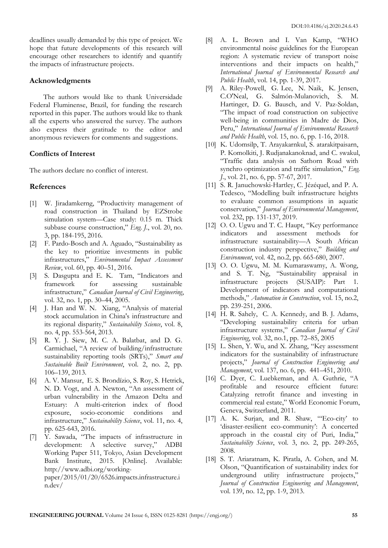deadlines usually demanded by this type of project. We hope that future developments of this research will encourage other researchers to identify and quantify the impacts of infrastructure projects.

#### **Acknowledgments**

The authors would like to thank Universidade Federal Fluminense, Brazil, for funding the research reported in this paper. The authors would like to thank all the experts who answered the survey. The authors also express their gratitude to the editor and anonymous reviewers for comments and suggestions.

### **Conflicts of Interest**

The authors declare no conflict of interest.

#### **References**

- [1] W. Jiradamkerng, "Productivity management of road construction in Thailand by EZStrobe simulation system—Case study: 0.15 m. Thick subbase course construction," *Eng. J.*, vol. 20, no. 3, pp. 184-195, 2016.
- [2] F. Pardo-Bosch and A. Aguado, "Sustainability as the key to prioritize investments in public infrastructures," *Environmental Impact Assessment Review*, vol. 60, pp. 40–51, 2016.
- [3] S. Dasgupta and E. K. Tam, "Indicators and framework for assessing sustainable infrastructure," *Canadian Journal of Civil Engineering*, vol. 32, no. 1, pp. 30–44, 2005.
- [4] J. Han and W. N. Xiang, "Analysis of material stock accumulation in China's infrastructure and its regional disparity," *Sustainability Science*, vol. 8, no. 4, pp. 553-564, 2013.
- [5] R. Y. J. Siew, M. C. A. Balatbat, and D. G. Carmichael, "A review of building/infrastructure sustainability reporting tools (SRTs)," *Smart and Sustainable Built Environment*, vol. 2, no. 2, pp. 106–139, 2013.
- [6] A. V. Mansur, E. S. Brondízio, S. Roy, S. Hetrick, N. D. Vogt, and A. Newton, "An assessment of urban vulnerability in the Amazon Delta and Estuary: A multi-criterion index of flood exposure, socio-economic conditions and infrastructure," *Sustainability Science*, vol. 11, no. 4, pp. 625-643, 2016.
- [7] Y. Sawada, "The impacts of infrastructure in development: A selective survey," ADBI Working Paper 511, Tokyo, Asian Development Bank Institute, 2015. [Online]. Available: http://www.adbi.org/workingpaper/2015/01/20/6526.impacts.infrastructure.i n.dev/
- [8] A. L. Brown and I. Van Kamp, "WHO environmental noise guidelines for the European region: A systematic review of transport noise interventions and their impacts on health," *International Journal of Environmental Research and Public Health*, vol. 14, pp. 1-39, 2017.
- [9] A. Riley-Powell, G. Lee, N. Naik, K. Jensen, C.O'Neal, G. Salmón-Mulanovich, S. M. Hartinger, D. G. Bausch, and V. Paz-Soldan, "The impact of road construction on subjective well-being in communities in Madre de Dios, Peru," *International Journal of Environmental Research and Public Health*, vol. 15, no. 6, pp. 1-16, 2018.
- [10] K. Udomsilp, T. Arayakarnkul, S. atarakitpaisarn, P. Komolkiti, J. Rudjanakanoknad, and C. swakul, "Traffic data analysis on Sathorn Road with synchro optimization and traffic simulation," *Eng. J.*, vol. 21, no. 6, pp. 57-67, 2017.
- [11] S. R. Januchowski-Hartley, C. Jézéquel, and P. A. Tedesco, "Modelling built infrastructure heights to evaluate common assumptions in aquatic conservation," *Journal of Environmental Management*, vol. 232, pp. 131-137, 2019.
- [12] O. O. Ugwu and T. C. Haupt, "Key performance" indicators and assessment methods for infrastructure sustainability—A South African construction industry perspective," *Building and Environment*, vol. 42, no.2, pp. 665-680, 2007.
- [13] O. O. Ugwu, M. M. Kumaraswamy, A. Wong, and S. T. Ng, "Sustainability appraisal in infrastructure projects (SUSAIP): Part 1. Development of indicators and computational methods," *Automation in Construction*, vol. 15, no.2, pp. 239-251, 2006.
- [14] H. R. Sahely, C. A. Kennedy, and B. J. Adams, "Developing sustainability criteria for urban infrastructure systems," *Canadian Journal of Civil Engineering*, vol. 32, no.1, pp. 72–85, 2005
- [15] L. Shen, Y. Wu, and X. Zhang, "Key assessment indicators for the sustainability of infrastructure projects," *Journal of Construction Engineering and Management*, vol. 137, no. 6, pp. 441–451, 2010.
- [16] C. Dyer, C. Luebkeman, and A. Guthrie, "A profitable and resource efficient future: Catalyzing retrofit finance and investing in commercial real estate," World Economic Forum, Geneva, Switzerland, 2011.
- [17] A. K. Surjan, and R. Shaw, "'Eco-city' to 'disaster-resilient eco-community': A concerted approach in the coastal city of Puri, India," *Sustainability Science*, vol. 3, no. 2, pp. 249-265, 2008.
- [18] S. T. Ariaratnam, K. Piratla, A. Cohen, and M. Olson, "Quantification of sustainability index for underground utility infrastructure projects," *Journal of Construction Engineering and Management*, vol. 139, no. 12, pp. 1-9, 2013.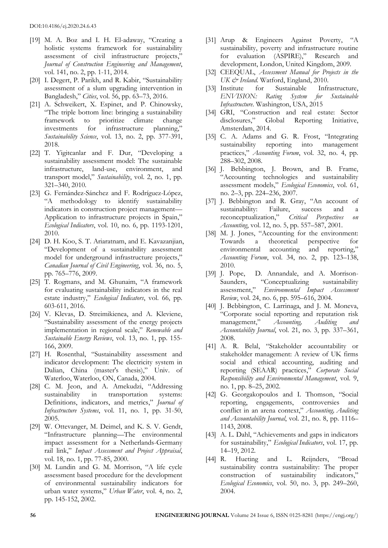- [19] M. A. Boz and I. H. El-adaway, "Creating a holistic systems framework for sustainability assessment of civil infrastructure projects," *Journal of Construction Engineering and Management*, vol. 141, no. 2, pp. 1-11, 2014.
- [20] I. Degert, P. Parikh, and R. Kabir, "Sustainability assessment of a slum upgrading intervention in Bangladesh," *Cities*, vol. 56, pp. 63–73, 2016.
- [21] A. Schweikert, X. Espinet, and P. Chinowsky, "The triple bottom line: bringing a sustainability framework to prioritize climate change investments for infrastructure planning," *Sustainability Science*, vol. 13, no. 2, pp. 377-391, 2018.
- [22] T. Yigitcanlar and F. Dur, "Developing a sustainability assessment model: The sustainable infrastructure, land-use, environment, and transport model," *Sustainability*, vol. 2, no. 1, pp. 321–340, 2010.
- [23] G. Fernández-Sánchez and F. Rodríguez-López, "A methodology to identify sustainability indicators in construction project management— Application to infrastructure projects in Spain," *Ecological Indicators*, vol. 10, no. 6, pp. 1193-1201, 2010.
- [24] D. H. Koo, S. T. Ariaratnam, and E. Kavazanjian, "Development of a sustainability assessment model for underground infrastructure projects," *Canadian Journal of Civil Engineering*, vol. 36, no. 5, pp. 765–776, 2009.
- [25] T. Rogmans, and M. Ghunaim, "A framework for evaluating sustainability indicators in the real estate industry," *Ecological Indicators*, vol. 66, pp. 603-611, 2016.
- [26] V. Klevas, D. Streimikienea, and A. Kleviene, "Sustainability assessment of the energy projects implementation in regional scale," *Renewable and Sustainable Energy Reviews*, vol. 13, no. 1, pp. 155- 166, 2009.
- [27] H. Rosenthal, "Sustainability assessment and indicator development: The electricity system in Dalian, China (master's thesis)," Univ. of Waterloo, Waterloo, ON, Canada, 2004.
- [28] C. M. Jeon, and A. Amekudzi, "Addressing sustainability in transportation systems: Definitions, indicators, and metrics," *Journal of Infrastructure Systems*, vol. 11, no. 1, pp. 31-50, 2005.
- [29] W. Ottevanger, M. Deimel, and K. S. V. Gendt, "Infrastructure planning—The environmental impact assessment for a Netherlands-Germany rail link," *Impact Assessment and Project Appraisal*, vol. 18, no. 1, pp. 77-85, 2000.
- [30] M. Lundin and G. M. Morrison, "A life cycle assessment based procedure for the development of environmental sustainability indicators for urban water systems," *Urban Water*, vol. 4, no. 2, pp. 145-152, 2002.
- [31] Arup & Engineers Against Poverty, "A sustainability, poverty and infrastructure routine for evaluation (ASPIRE)," Research and development, London, United Kingdom, 2009.
- [32] CEEQUAL, *Assessment Manual for Projects in the UK & Ireland*. Watford, England, 2010.
- [33] Institute for Sustainable Infrastructure, *ENVISION: Rating System for Sustainable Infrastructure*. Washington, USA, 2015
- [34] GRI, "Construction and real estate: Sector disclosures," Global Reporting Initiative, Amsterdam, 2014.
- [35] C. A. Adams and G. R. Frost, "Integrating sustainability reporting into management practices," *Accounting Forum*, vol. 32, no. 4, pp. 288–302, 2008.
- [36] J. Bebbington, J. Brown, and B. Frame, "Accounting technologies and sustainability assessment models," *Ecological Economics*, vol. 61, no. 2–3, pp. 224–236, 2007.
- [37] J. Bebbington and R. Gray, "An account of sustainability: Failure, success and a reconceptualization," *Critical Perspectives on Accounting*, vol. 12, no. 5, pp. 557–587, 2001.
- [38] M. J. Jones, "Accounting for the environment: Towards a theoretical perspective for environmental accounting and reporting," *Accounting Forum*, vol. 34, no. 2, pp. 123–138, 2010.
- [39] J. Pope, D. Annandale, and A. Morrison-Saunders, "Conceptualizing sustainability assessment," *Environmental Impact Assessment Review*, vol. 24, no. 6, pp. 595–616, 2004.
- [40] J. Bebbington, C. Larrinaga, and J. M. Moneva, "Corporate social reporting and reputation risk management," *Accounting, Auditing and Accountability Journal*, vol. 21, no. 3, pp. 337–361, 2008.
- [41] A. R. Belal, "Stakeholder accountability or stakeholder management: A review of UK firms social and ethical accounting, auditing and reporting (SEAAR) practices," *Corporate Social Responsibility and Environmental Management*, vol. 9, no. 1, pp. 8–25, 2002.
- [42] G. Georgakopoulos and I. Thomson, "Social reporting, engagements, controversies and conflict in an arena context," *Accounting, Auditing and Accountability Journal*, vol. 21, no. 8, pp. 1116– 1143, 2008.
- [43] A. L. Dahl, "Achievements and gaps in indicators for sustainability," *Ecological Indicators*, vol. 17, pp. 14–19, 2012.
- [44] R. Hueting and L. Reijnders, "Broad sustainability contra sustainability: The proper construction of sustainability indicators," *Ecological Economics*, vol. 50, no. 3, pp. 249–260, 2004.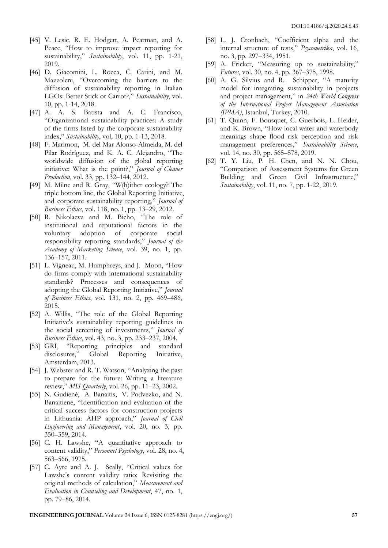- [45] V. Lesic, R. E. Hodgett, A. Pearman, and A. Peace, "How to improve impact reporting for sustainability," *Sustainability*, vol. 11, pp. 1-21, 2019.
- [46] D. Giacomini, L. Rocca, C. Carini, and M. Mazzoleni, "Overcoming the barriers to the diffusion of sustainability reporting in Italian LGOs: Better Stick or Carrot?," *Sustainability*, vol. 10, pp. 1-14, 2018.
- [47] A. A. S. Batista and A. C. Francisco, "Organizational sustainability practices: A study of the firms listed by the corporate sustainability index," *Sustainability*, vol, 10, pp. 1-13, 2018.
- [48] F. Marimon, M. del Mar Alonso-Almeida, M. del Pilar Rodríguez, and K. A. C. Alejandro, "The worldwide diffusion of the global reporting initiative: What is the point?," *Journal of Cleaner Production*, vol. 33, pp. 132–144, 2012.
- [49] M. Milne and R. Gray, "W(h)ither ecology? The triple bottom line, the Global Reporting Initiative, and corporate sustainability reporting," *Journal of Business Ethics*, vol. 118, no. 1, pp. 13–29, 2012.
- [50] R. Nikolaeva and M. Bicho, "The role of institutional and reputational factors in the voluntary adoption of corporate social responsibility reporting standards," *Journal of the Academy of Marketing Science*, vol. 39, no. 1, pp. 136–157, 2011.
- [51] L. Vigneau, M. Humphreys, and J. Moon, "How do firms comply with international sustainability standards? Processes and consequences of adopting the Global Reporting Initiative," *Journal of Business Ethics*, vol. 131, no. 2, pp. 469–486, 2015.
- [52] A. Willis, "The role of the Global Reporting Initiative's sustainability reporting guidelines in the social screening of investments," *Journal of Business Ethics*, vol. 43, no. 3, pp. 233–237, 2004.
- [53] GRI, "Reporting principles and standard disclosures," Global Reporting Initiative, Amsterdam, 2013.
- [54] J. Webster and R. T. Watson, "Analyzing the past to prepare for the future: Writing a literature review," *MIS Quarterly*, vol. 26, pp. 11–23, 2002.
- [55] N. Gudienė, A. Banaitis, V. Podvezko, and N. Banaitienė, "Identification and evaluation of the critical success factors for construction projects in Lithuania: AHP approach," *Journal of Civil Engineering and Management*, vol. 20, no. 3, pp. 350–359, 2014.
- [56] C. H. Lawshe, "A quantitative approach to content validity," *Personnel Psychology*, vol. 28, no. 4, 563–566, 1975.
- [57] C. Ayre and A. J. Scally, "Critical values for Lawshe's content validity ratio: Revisiting the original methods of calculation," *Measurement and Evaluation in Counseling and Development*, 47, no. 1, pp. 79–86, 2014.
- [58] L. J. Cronbach, "Coefficient alpha and the internal structure of tests," *Psycometrika*, vol. 16, no. 3, pp. 297–334, 1951.
- [59] A. Fricker, "Measuring up to sustainability," *Futures*, vol. 30, no. 4, pp. 367–375, 1998.
- [60] A. G. Silvius and R. Schipper, "A maturity model for integrating sustainability in projects and project management," in *24th World Congress of the International Project Management Association (IPMA)*, Istanbul, Turkey, 2010.
- [61] T. Quinn, F. Bousquet, C. Guerbois, L. Heider, and K. Brown, "How local water and waterbody meanings shape flood risk perception and risk management preferences," *Sustainability Science*, vol. 14, no. 30, pp. 565–578, 2019.
- [62] T. Y. Liu, P. H. Chen, and N. N. Chou, "Comparison of Assessment Systems for Green Building and Green Civil Infrastructure," *Sustainability*, vol. 11, no. 7, pp. 1-22, 2019.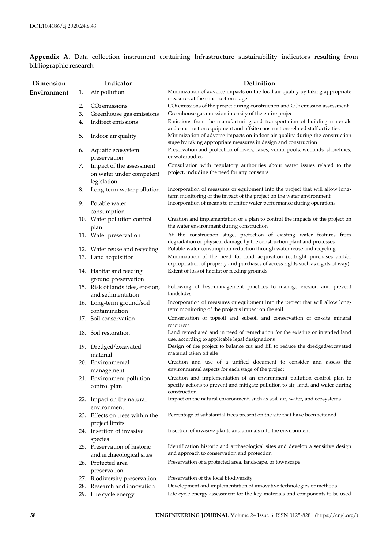| Minimization of adverse impacts on the local air quality by taking appropriate<br>Air pollution<br>Environment<br>1.<br>measures at the construction stage<br>CO <sub>2</sub> emissions of the project during construction and CO <sub>2</sub> emission assessment<br>2.<br>$CO2$ emissions<br>3.<br>Greenhouse gas emissions<br>Greenhouse gas emission intensity of the entire project<br>Emissions from the manufacturing and transportation of building materials<br>Indirect emissions<br>4.<br>and construction equipment and offsite construction-related staff activities<br>Minimization of adverse impacts on indoor air quality during the construction<br>5.<br>Indoor air quality<br>stage by taking appropriate measures in design and construction<br>Preservation and protection of rivers, lakes, vernal pools, wetlands, shorelines,<br>Aquatic ecosystem<br>6.<br>or waterbodies<br>preservation<br>Consultation with regulatory authorities about water issues related to the<br>Impact of the assessment<br>7.<br>project, including the need for any consents<br>on water under competent<br>legislation<br>Incorporation of measures or equipment into the project that will allow long-<br>Long-term water pollution<br>8.<br>term monitoring of the impact of the project on the water environment<br>Incorporation of means to monitor water performance during operations<br>9.<br>Potable water<br>consumption<br>10. Water pollution control<br>Creation and implementation of a plan to control the impacts of the project on<br>the water environment during construction<br>plan<br>At the construction stage, protection of existing water features from<br>11. Water preservation<br>degradation or physical damage by the construction plant and processes<br>Potable water consumption reduction through water reuse and recycling<br>12. Water reuse and recycling<br>Minimization of the need for land acquisition (outright purchases and/or<br>13. Land acquisition<br>expropriation of property and purchases of access rights such as rights of way)<br>Extent of loss of habitat or feeding grounds<br>14. Habitat and feeding<br>ground preservation<br>15. Risk of landslides, erosion,<br>Following of best-management practices to manage erosion and prevent<br>landslides<br>and sedimentation<br>Incorporation of measures or equipment into the project that will allow long-<br>16. Long-term ground/soil<br>term monitoring of the project's impact on the soil<br>contamination<br>17. Soil conservation<br>Conservation of topsoil and subsoil and conservation of on-site mineral<br>resources<br>Land remediated and in need of remediation for the existing or intended land<br>18. Soil restoration<br>use, according to applicable legal designations<br>Design of the project to balance cut and fill to reduce the dredged/excavated<br>19. Dredged/excavated |  |
|-----------------------------------------------------------------------------------------------------------------------------------------------------------------------------------------------------------------------------------------------------------------------------------------------------------------------------------------------------------------------------------------------------------------------------------------------------------------------------------------------------------------------------------------------------------------------------------------------------------------------------------------------------------------------------------------------------------------------------------------------------------------------------------------------------------------------------------------------------------------------------------------------------------------------------------------------------------------------------------------------------------------------------------------------------------------------------------------------------------------------------------------------------------------------------------------------------------------------------------------------------------------------------------------------------------------------------------------------------------------------------------------------------------------------------------------------------------------------------------------------------------------------------------------------------------------------------------------------------------------------------------------------------------------------------------------------------------------------------------------------------------------------------------------------------------------------------------------------------------------------------------------------------------------------------------------------------------------------------------------------------------------------------------------------------------------------------------------------------------------------------------------------------------------------------------------------------------------------------------------------------------------------------------------------------------------------------------------------------------------------------------------------------------------------------------------------------------------------------------------------------------------------------------------------------------------------------------------------------------------------------------------------------------------------------------------------------------------------------------------------------------------------------------------------------------------------------------------------------------------------------------------------------------------------------|--|
|                                                                                                                                                                                                                                                                                                                                                                                                                                                                                                                                                                                                                                                                                                                                                                                                                                                                                                                                                                                                                                                                                                                                                                                                                                                                                                                                                                                                                                                                                                                                                                                                                                                                                                                                                                                                                                                                                                                                                                                                                                                                                                                                                                                                                                                                                                                                                                                                                                                                                                                                                                                                                                                                                                                                                                                                                                                                                                                             |  |
|                                                                                                                                                                                                                                                                                                                                                                                                                                                                                                                                                                                                                                                                                                                                                                                                                                                                                                                                                                                                                                                                                                                                                                                                                                                                                                                                                                                                                                                                                                                                                                                                                                                                                                                                                                                                                                                                                                                                                                                                                                                                                                                                                                                                                                                                                                                                                                                                                                                                                                                                                                                                                                                                                                                                                                                                                                                                                                                             |  |
|                                                                                                                                                                                                                                                                                                                                                                                                                                                                                                                                                                                                                                                                                                                                                                                                                                                                                                                                                                                                                                                                                                                                                                                                                                                                                                                                                                                                                                                                                                                                                                                                                                                                                                                                                                                                                                                                                                                                                                                                                                                                                                                                                                                                                                                                                                                                                                                                                                                                                                                                                                                                                                                                                                                                                                                                                                                                                                                             |  |
|                                                                                                                                                                                                                                                                                                                                                                                                                                                                                                                                                                                                                                                                                                                                                                                                                                                                                                                                                                                                                                                                                                                                                                                                                                                                                                                                                                                                                                                                                                                                                                                                                                                                                                                                                                                                                                                                                                                                                                                                                                                                                                                                                                                                                                                                                                                                                                                                                                                                                                                                                                                                                                                                                                                                                                                                                                                                                                                             |  |
|                                                                                                                                                                                                                                                                                                                                                                                                                                                                                                                                                                                                                                                                                                                                                                                                                                                                                                                                                                                                                                                                                                                                                                                                                                                                                                                                                                                                                                                                                                                                                                                                                                                                                                                                                                                                                                                                                                                                                                                                                                                                                                                                                                                                                                                                                                                                                                                                                                                                                                                                                                                                                                                                                                                                                                                                                                                                                                                             |  |
|                                                                                                                                                                                                                                                                                                                                                                                                                                                                                                                                                                                                                                                                                                                                                                                                                                                                                                                                                                                                                                                                                                                                                                                                                                                                                                                                                                                                                                                                                                                                                                                                                                                                                                                                                                                                                                                                                                                                                                                                                                                                                                                                                                                                                                                                                                                                                                                                                                                                                                                                                                                                                                                                                                                                                                                                                                                                                                                             |  |
|                                                                                                                                                                                                                                                                                                                                                                                                                                                                                                                                                                                                                                                                                                                                                                                                                                                                                                                                                                                                                                                                                                                                                                                                                                                                                                                                                                                                                                                                                                                                                                                                                                                                                                                                                                                                                                                                                                                                                                                                                                                                                                                                                                                                                                                                                                                                                                                                                                                                                                                                                                                                                                                                                                                                                                                                                                                                                                                             |  |
|                                                                                                                                                                                                                                                                                                                                                                                                                                                                                                                                                                                                                                                                                                                                                                                                                                                                                                                                                                                                                                                                                                                                                                                                                                                                                                                                                                                                                                                                                                                                                                                                                                                                                                                                                                                                                                                                                                                                                                                                                                                                                                                                                                                                                                                                                                                                                                                                                                                                                                                                                                                                                                                                                                                                                                                                                                                                                                                             |  |
|                                                                                                                                                                                                                                                                                                                                                                                                                                                                                                                                                                                                                                                                                                                                                                                                                                                                                                                                                                                                                                                                                                                                                                                                                                                                                                                                                                                                                                                                                                                                                                                                                                                                                                                                                                                                                                                                                                                                                                                                                                                                                                                                                                                                                                                                                                                                                                                                                                                                                                                                                                                                                                                                                                                                                                                                                                                                                                                             |  |
|                                                                                                                                                                                                                                                                                                                                                                                                                                                                                                                                                                                                                                                                                                                                                                                                                                                                                                                                                                                                                                                                                                                                                                                                                                                                                                                                                                                                                                                                                                                                                                                                                                                                                                                                                                                                                                                                                                                                                                                                                                                                                                                                                                                                                                                                                                                                                                                                                                                                                                                                                                                                                                                                                                                                                                                                                                                                                                                             |  |
|                                                                                                                                                                                                                                                                                                                                                                                                                                                                                                                                                                                                                                                                                                                                                                                                                                                                                                                                                                                                                                                                                                                                                                                                                                                                                                                                                                                                                                                                                                                                                                                                                                                                                                                                                                                                                                                                                                                                                                                                                                                                                                                                                                                                                                                                                                                                                                                                                                                                                                                                                                                                                                                                                                                                                                                                                                                                                                                             |  |
|                                                                                                                                                                                                                                                                                                                                                                                                                                                                                                                                                                                                                                                                                                                                                                                                                                                                                                                                                                                                                                                                                                                                                                                                                                                                                                                                                                                                                                                                                                                                                                                                                                                                                                                                                                                                                                                                                                                                                                                                                                                                                                                                                                                                                                                                                                                                                                                                                                                                                                                                                                                                                                                                                                                                                                                                                                                                                                                             |  |
|                                                                                                                                                                                                                                                                                                                                                                                                                                                                                                                                                                                                                                                                                                                                                                                                                                                                                                                                                                                                                                                                                                                                                                                                                                                                                                                                                                                                                                                                                                                                                                                                                                                                                                                                                                                                                                                                                                                                                                                                                                                                                                                                                                                                                                                                                                                                                                                                                                                                                                                                                                                                                                                                                                                                                                                                                                                                                                                             |  |
|                                                                                                                                                                                                                                                                                                                                                                                                                                                                                                                                                                                                                                                                                                                                                                                                                                                                                                                                                                                                                                                                                                                                                                                                                                                                                                                                                                                                                                                                                                                                                                                                                                                                                                                                                                                                                                                                                                                                                                                                                                                                                                                                                                                                                                                                                                                                                                                                                                                                                                                                                                                                                                                                                                                                                                                                                                                                                                                             |  |
|                                                                                                                                                                                                                                                                                                                                                                                                                                                                                                                                                                                                                                                                                                                                                                                                                                                                                                                                                                                                                                                                                                                                                                                                                                                                                                                                                                                                                                                                                                                                                                                                                                                                                                                                                                                                                                                                                                                                                                                                                                                                                                                                                                                                                                                                                                                                                                                                                                                                                                                                                                                                                                                                                                                                                                                                                                                                                                                             |  |
|                                                                                                                                                                                                                                                                                                                                                                                                                                                                                                                                                                                                                                                                                                                                                                                                                                                                                                                                                                                                                                                                                                                                                                                                                                                                                                                                                                                                                                                                                                                                                                                                                                                                                                                                                                                                                                                                                                                                                                                                                                                                                                                                                                                                                                                                                                                                                                                                                                                                                                                                                                                                                                                                                                                                                                                                                                                                                                                             |  |
|                                                                                                                                                                                                                                                                                                                                                                                                                                                                                                                                                                                                                                                                                                                                                                                                                                                                                                                                                                                                                                                                                                                                                                                                                                                                                                                                                                                                                                                                                                                                                                                                                                                                                                                                                                                                                                                                                                                                                                                                                                                                                                                                                                                                                                                                                                                                                                                                                                                                                                                                                                                                                                                                                                                                                                                                                                                                                                                             |  |
|                                                                                                                                                                                                                                                                                                                                                                                                                                                                                                                                                                                                                                                                                                                                                                                                                                                                                                                                                                                                                                                                                                                                                                                                                                                                                                                                                                                                                                                                                                                                                                                                                                                                                                                                                                                                                                                                                                                                                                                                                                                                                                                                                                                                                                                                                                                                                                                                                                                                                                                                                                                                                                                                                                                                                                                                                                                                                                                             |  |
|                                                                                                                                                                                                                                                                                                                                                                                                                                                                                                                                                                                                                                                                                                                                                                                                                                                                                                                                                                                                                                                                                                                                                                                                                                                                                                                                                                                                                                                                                                                                                                                                                                                                                                                                                                                                                                                                                                                                                                                                                                                                                                                                                                                                                                                                                                                                                                                                                                                                                                                                                                                                                                                                                                                                                                                                                                                                                                                             |  |
|                                                                                                                                                                                                                                                                                                                                                                                                                                                                                                                                                                                                                                                                                                                                                                                                                                                                                                                                                                                                                                                                                                                                                                                                                                                                                                                                                                                                                                                                                                                                                                                                                                                                                                                                                                                                                                                                                                                                                                                                                                                                                                                                                                                                                                                                                                                                                                                                                                                                                                                                                                                                                                                                                                                                                                                                                                                                                                                             |  |
|                                                                                                                                                                                                                                                                                                                                                                                                                                                                                                                                                                                                                                                                                                                                                                                                                                                                                                                                                                                                                                                                                                                                                                                                                                                                                                                                                                                                                                                                                                                                                                                                                                                                                                                                                                                                                                                                                                                                                                                                                                                                                                                                                                                                                                                                                                                                                                                                                                                                                                                                                                                                                                                                                                                                                                                                                                                                                                                             |  |
|                                                                                                                                                                                                                                                                                                                                                                                                                                                                                                                                                                                                                                                                                                                                                                                                                                                                                                                                                                                                                                                                                                                                                                                                                                                                                                                                                                                                                                                                                                                                                                                                                                                                                                                                                                                                                                                                                                                                                                                                                                                                                                                                                                                                                                                                                                                                                                                                                                                                                                                                                                                                                                                                                                                                                                                                                                                                                                                             |  |
| material taken off site<br>material                                                                                                                                                                                                                                                                                                                                                                                                                                                                                                                                                                                                                                                                                                                                                                                                                                                                                                                                                                                                                                                                                                                                                                                                                                                                                                                                                                                                                                                                                                                                                                                                                                                                                                                                                                                                                                                                                                                                                                                                                                                                                                                                                                                                                                                                                                                                                                                                                                                                                                                                                                                                                                                                                                                                                                                                                                                                                         |  |
| Creation and use of a unified document to consider and assess the<br>20. Environmental<br>environmental aspects for each stage of the project                                                                                                                                                                                                                                                                                                                                                                                                                                                                                                                                                                                                                                                                                                                                                                                                                                                                                                                                                                                                                                                                                                                                                                                                                                                                                                                                                                                                                                                                                                                                                                                                                                                                                                                                                                                                                                                                                                                                                                                                                                                                                                                                                                                                                                                                                                                                                                                                                                                                                                                                                                                                                                                                                                                                                                               |  |
| management<br>Creation and implementation of an environment pollution control plan to<br>21. Environment pollution                                                                                                                                                                                                                                                                                                                                                                                                                                                                                                                                                                                                                                                                                                                                                                                                                                                                                                                                                                                                                                                                                                                                                                                                                                                                                                                                                                                                                                                                                                                                                                                                                                                                                                                                                                                                                                                                                                                                                                                                                                                                                                                                                                                                                                                                                                                                                                                                                                                                                                                                                                                                                                                                                                                                                                                                          |  |
| specify actions to prevent and mitigate pollution to air, land, and water during<br>control plan<br>construction                                                                                                                                                                                                                                                                                                                                                                                                                                                                                                                                                                                                                                                                                                                                                                                                                                                                                                                                                                                                                                                                                                                                                                                                                                                                                                                                                                                                                                                                                                                                                                                                                                                                                                                                                                                                                                                                                                                                                                                                                                                                                                                                                                                                                                                                                                                                                                                                                                                                                                                                                                                                                                                                                                                                                                                                            |  |
| Impact on the natural environment, such as soil, air, water, and ecosystems<br>22. Impact on the natural<br>environment                                                                                                                                                                                                                                                                                                                                                                                                                                                                                                                                                                                                                                                                                                                                                                                                                                                                                                                                                                                                                                                                                                                                                                                                                                                                                                                                                                                                                                                                                                                                                                                                                                                                                                                                                                                                                                                                                                                                                                                                                                                                                                                                                                                                                                                                                                                                                                                                                                                                                                                                                                                                                                                                                                                                                                                                     |  |
| Percentage of substantial trees present on the site that have been retained<br>23. Effects on trees within the                                                                                                                                                                                                                                                                                                                                                                                                                                                                                                                                                                                                                                                                                                                                                                                                                                                                                                                                                                                                                                                                                                                                                                                                                                                                                                                                                                                                                                                                                                                                                                                                                                                                                                                                                                                                                                                                                                                                                                                                                                                                                                                                                                                                                                                                                                                                                                                                                                                                                                                                                                                                                                                                                                                                                                                                              |  |
| project limits<br>24. Insertion of invasive<br>Insertion of invasive plants and animals into the environment                                                                                                                                                                                                                                                                                                                                                                                                                                                                                                                                                                                                                                                                                                                                                                                                                                                                                                                                                                                                                                                                                                                                                                                                                                                                                                                                                                                                                                                                                                                                                                                                                                                                                                                                                                                                                                                                                                                                                                                                                                                                                                                                                                                                                                                                                                                                                                                                                                                                                                                                                                                                                                                                                                                                                                                                                |  |
| species                                                                                                                                                                                                                                                                                                                                                                                                                                                                                                                                                                                                                                                                                                                                                                                                                                                                                                                                                                                                                                                                                                                                                                                                                                                                                                                                                                                                                                                                                                                                                                                                                                                                                                                                                                                                                                                                                                                                                                                                                                                                                                                                                                                                                                                                                                                                                                                                                                                                                                                                                                                                                                                                                                                                                                                                                                                                                                                     |  |
| Identification historic and archaeological sites and develop a sensitive design<br>25. Preservation of historic                                                                                                                                                                                                                                                                                                                                                                                                                                                                                                                                                                                                                                                                                                                                                                                                                                                                                                                                                                                                                                                                                                                                                                                                                                                                                                                                                                                                                                                                                                                                                                                                                                                                                                                                                                                                                                                                                                                                                                                                                                                                                                                                                                                                                                                                                                                                                                                                                                                                                                                                                                                                                                                                                                                                                                                                             |  |
| and approach to conservation and protection<br>and archaeological sites                                                                                                                                                                                                                                                                                                                                                                                                                                                                                                                                                                                                                                                                                                                                                                                                                                                                                                                                                                                                                                                                                                                                                                                                                                                                                                                                                                                                                                                                                                                                                                                                                                                                                                                                                                                                                                                                                                                                                                                                                                                                                                                                                                                                                                                                                                                                                                                                                                                                                                                                                                                                                                                                                                                                                                                                                                                     |  |
| Preservation of a protected area, landscape, or townscape<br>26. Protected area                                                                                                                                                                                                                                                                                                                                                                                                                                                                                                                                                                                                                                                                                                                                                                                                                                                                                                                                                                                                                                                                                                                                                                                                                                                                                                                                                                                                                                                                                                                                                                                                                                                                                                                                                                                                                                                                                                                                                                                                                                                                                                                                                                                                                                                                                                                                                                                                                                                                                                                                                                                                                                                                                                                                                                                                                                             |  |
| preservation                                                                                                                                                                                                                                                                                                                                                                                                                                                                                                                                                                                                                                                                                                                                                                                                                                                                                                                                                                                                                                                                                                                                                                                                                                                                                                                                                                                                                                                                                                                                                                                                                                                                                                                                                                                                                                                                                                                                                                                                                                                                                                                                                                                                                                                                                                                                                                                                                                                                                                                                                                                                                                                                                                                                                                                                                                                                                                                |  |
| Preservation of the local biodiversity<br>27. Biodiversity preservation<br>28. Research and innovation<br>Development and implementation of innovative technologies or methods                                                                                                                                                                                                                                                                                                                                                                                                                                                                                                                                                                                                                                                                                                                                                                                                                                                                                                                                                                                                                                                                                                                                                                                                                                                                                                                                                                                                                                                                                                                                                                                                                                                                                                                                                                                                                                                                                                                                                                                                                                                                                                                                                                                                                                                                                                                                                                                                                                                                                                                                                                                                                                                                                                                                              |  |
| 29. Life cycle energy<br>Life cycle energy assessment for the key materials and components to be used                                                                                                                                                                                                                                                                                                                                                                                                                                                                                                                                                                                                                                                                                                                                                                                                                                                                                                                                                                                                                                                                                                                                                                                                                                                                                                                                                                                                                                                                                                                                                                                                                                                                                                                                                                                                                                                                                                                                                                                                                                                                                                                                                                                                                                                                                                                                                                                                                                                                                                                                                                                                                                                                                                                                                                                                                       |  |

**Appendix A.** Data collection instrument containing Infrastructure sustainability indicators resulting from bibliographic research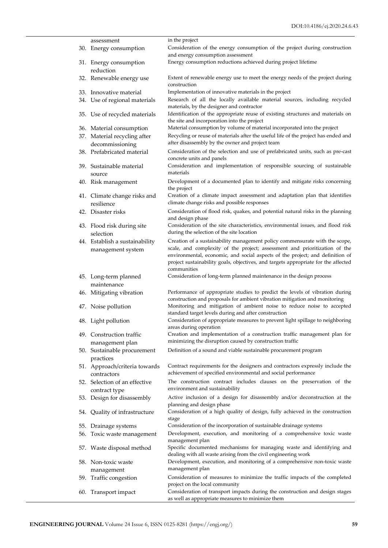| assessment                                      | in the project                                                                                                                                                                                                                                                   |
|-------------------------------------------------|------------------------------------------------------------------------------------------------------------------------------------------------------------------------------------------------------------------------------------------------------------------|
| 30. Energy consumption                          | Consideration of the energy consumption of the project during construction<br>and energy consumption assessment                                                                                                                                                  |
| 31. Energy consumption<br>reduction             | Energy consumption reductions achieved during project lifetime                                                                                                                                                                                                   |
| 32. Renewable energy use                        | Extent of renewable energy use to meet the energy needs of the project during<br>construction                                                                                                                                                                    |
| 33. Innovative material                         | Implementation of innovative materials in the project                                                                                                                                                                                                            |
| 34. Use of regional materials                   | Research of all the locally available material sources, including recycled<br>materials, by the designer and contractor                                                                                                                                          |
| 35. Use of recycled materials                   | Identification of the appropriate reuse of existing structures and materials on<br>the site and incorporation into the project                                                                                                                                   |
| 36. Material consumption                        | Material consumption by volume of material incorporated into the project                                                                                                                                                                                         |
| 37. Material recycling after<br>decommissioning | Recycling or reuse of materials after the useful life of the project has ended and<br>after disassembly by the owner and project team                                                                                                                            |
| 38. Prefabricated material                      | Consideration of the selection and use of prefabricated units, such as pre-cast                                                                                                                                                                                  |
| 39. Sustainable material                        | concrete units and panels<br>Consideration and implementation of responsible sourcing of sustainable<br>materials                                                                                                                                                |
| source<br>40. Risk management                   | Development of a documented plan to identify and mitigate risks concerning<br>the project                                                                                                                                                                        |
| 41. Climate change risks and<br>resilience      | Creation of a climate impact assessment and adaptation plan that identifies<br>climate change risks and possible responses                                                                                                                                       |
| 42. Disaster risks                              | Consideration of flood risk, quakes, and potential natural risks in the planning<br>and design phase                                                                                                                                                             |
| 43. Flood risk during site<br>selection         | Consideration of the site characteristics, environmental issues, and flood risk<br>during the selection of the site location                                                                                                                                     |
| 44. Establish a sustainability                  | Creation of a sustainability management policy commensurate with the scope,                                                                                                                                                                                      |
| management system                               | scale, and complexity of the project; assessment and prioritization of the<br>environmental, economic, and social aspects of the project; and definition of<br>project sustainability goals, objectives, and targets appropriate for the affected<br>communities |
| 45. Long-term planned<br>maintenance            | Consideration of long-term planned maintenance in the design process                                                                                                                                                                                             |
| 46. Mitigating vibration                        | Performance of appropriate studies to predict the levels of vibration during<br>construction and proposals for ambient vibration mitigation and monitoring                                                                                                       |
| 47. Noise pollution                             | Monitoring and mitigation of ambient noise to reduce noise to accepted<br>standard target levels during and after construction                                                                                                                                   |
| 48. Light pollution                             | Consideration of appropriate measures to prevent light spillage to neighboring<br>areas during operation                                                                                                                                                         |
| 49. Construction traffic<br>management plan     | Creation and implementation of a construction traffic management plan for<br>minimizing the disruption caused by construction traffic                                                                                                                            |
| 50. Sustainable procurement<br>practices        | Definition of a sound and viable sustainable procurement program                                                                                                                                                                                                 |
| 51. Approach/criteria towards<br>contractors    | Contract requirements for the designers and contractors expressly include the<br>achievement of specified environmental and social performance                                                                                                                   |
| 52. Selection of an effective<br>contract type  | The construction contract includes clauses on the preservation of the<br>environment and sustainability                                                                                                                                                          |
| 53. Design for disassembly                      | Active inclusion of a design for disassembly and/or deconstruction at the<br>planning and design phase                                                                                                                                                           |
| 54. Quality of infrastructure                   | Consideration of a high quality of design, fully achieved in the construction<br>stage                                                                                                                                                                           |
| 55. Drainage systems                            | Consideration of the incorporation of sustainable drainage systems                                                                                                                                                                                               |
| 56. Toxic waste management                      | Development, execution, and monitoring of a comprehensive toxic waste<br>management plan                                                                                                                                                                         |
| 57. Waste disposal method                       | Specific documented mechanisms for managing waste and identifying and<br>dealing with all waste arising from the civil engineering work                                                                                                                          |
| 58. Non-toxic waste                             | Development, execution, and monitoring of a comprehensive non-toxic waste                                                                                                                                                                                        |
| management<br>59. Traffic congestion            | management plan<br>Consideration of measures to minimize the traffic impacts of the completed                                                                                                                                                                    |
| 60. Transport impact                            | project on the local community<br>Consideration of transport impacts during the construction and design stages<br>as well as appropriate measures to minimize them                                                                                               |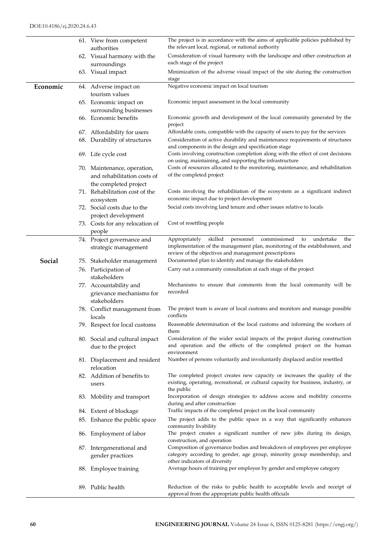|          | 61. View from competent<br>authorities      | The project is in accordance with the aims of applicable policies published by<br>the relevant local, regional, or national authority                            |
|----------|---------------------------------------------|------------------------------------------------------------------------------------------------------------------------------------------------------------------|
|          |                                             | Consideration of visual harmony with the landscape and other construction at                                                                                     |
|          | 62. Visual harmony with the<br>surroundings | each stage of the project                                                                                                                                        |
|          | 63. Visual impact                           | Minimization of the adverse visual impact of the site during the construction<br>stage                                                                           |
| Economic | 64. Adverse impact on                       | Negative economic impact on local tourism                                                                                                                        |
|          | tourism values                              |                                                                                                                                                                  |
|          | 65. Economic impact on                      | Economic impact assessment in the local community                                                                                                                |
|          |                                             |                                                                                                                                                                  |
|          | surrounding businesses                      |                                                                                                                                                                  |
|          | 66. Economic benefits                       | Economic growth and development of the local community generated by the<br>project                                                                               |
|          | 67. Affordability for users                 | Affordable costs, compatible with the capacity of users to pay for the services                                                                                  |
|          | 68. Durability of structures                | Consideration of active durability and maintenance requirements of structures<br>and components in the design and specification stage                            |
|          | 69. Life cycle cost                         | Costs involving construction completion along with the effect of cost decisions<br>on using, maintaining, and supporting the infrastructure                      |
|          | 70. Maintenance, operation,                 | Costs of resources allocated to the monitoring, maintenance, and rehabilitation                                                                                  |
|          | and rehabilitation costs of                 | of the completed project                                                                                                                                         |
|          | the completed project                       |                                                                                                                                                                  |
|          | 71. Rehabilitation cost of the              | Costs involving the rehabilitation of the ecosystem as a significant indirect                                                                                    |
|          |                                             | economic impact due to project development                                                                                                                       |
|          | ecosystem                                   | Social costs involving land tenure and other issues relative to locals                                                                                           |
|          | 72. Social costs due to the                 |                                                                                                                                                                  |
|          | project development                         |                                                                                                                                                                  |
|          | 73. Costs for any relocation of<br>people   | Cost of resettling people                                                                                                                                        |
|          | 74. Project governance and                  | skilled<br>commissioned<br>undertake<br>Appropriately<br>personnel<br>to<br>the                                                                                  |
|          | strategic management                        | implementation of the management plan, monitoring of the establishment, and                                                                                      |
|          |                                             | review of the objectives and management prescriptions                                                                                                            |
| Social   | 75. Stakeholder management                  | Documented plan to identify and manage the stakeholders                                                                                                          |
|          | 76. Participation of<br>stakeholders        | Carry out a community consultation at each stage of the project                                                                                                  |
|          | 77. Accountability and                      | Mechanisms to ensure that comments from the local community will be                                                                                              |
|          | grievance mechanisms for                    | recorded                                                                                                                                                         |
|          | stakeholders                                |                                                                                                                                                                  |
|          | 78. Conflict management from                | The project team is aware of local customs and monitors and manage possible                                                                                      |
|          | locals                                      | conflicts                                                                                                                                                        |
|          | 79. Respect for local customs               | Reasonable determination of the local customs and informing the workers of<br>them                                                                               |
|          | 80. Social and cultural impact              | Consideration of the wider social impacts of the project during construction                                                                                     |
|          | due to the project                          | and operation and the effects of the completed project on the human<br>environment                                                                               |
|          | 81. Displacement and resident               | Number of persons voluntarily and involuntarily displaced and/or resettled                                                                                       |
|          | relocation                                  |                                                                                                                                                                  |
|          | 82. Addition of benefits to<br>users        | The completed project creates new capacity or increases the quality of the<br>existing, operating, recreational, or cultural capacity for business, industry, or |
|          |                                             | the public                                                                                                                                                       |
|          | 83. Mobility and transport                  | Incorporation of design strategies to address access and mobility concerns<br>during and after construction                                                      |
|          | 84. Extent of blockage                      | Traffic impacts of the completed project on the local community                                                                                                  |
|          | 85. Enhance the public space                | The project adds to the public space in a way that significantly enhances<br>community livability                                                                |
|          | 86. Employment of labor                     | The project creates a significant number of new jobs during its design,<br>construction, and operation                                                           |
|          | 87. Intergenerational and                   | Composition of governance bodies and breakdown of employees per employee                                                                                         |
|          | gender practices                            | category according to gender, age group, minority group membership, and<br>other indicators of diversity                                                         |
|          | 88. Employee training                       | Average hours of training per employee by gender and employee category                                                                                           |
|          |                                             |                                                                                                                                                                  |
|          | 89. Public health                           | Reduction of the risks to public health to acceptable levels and receipt of<br>approval from the appropriate public health officials                             |